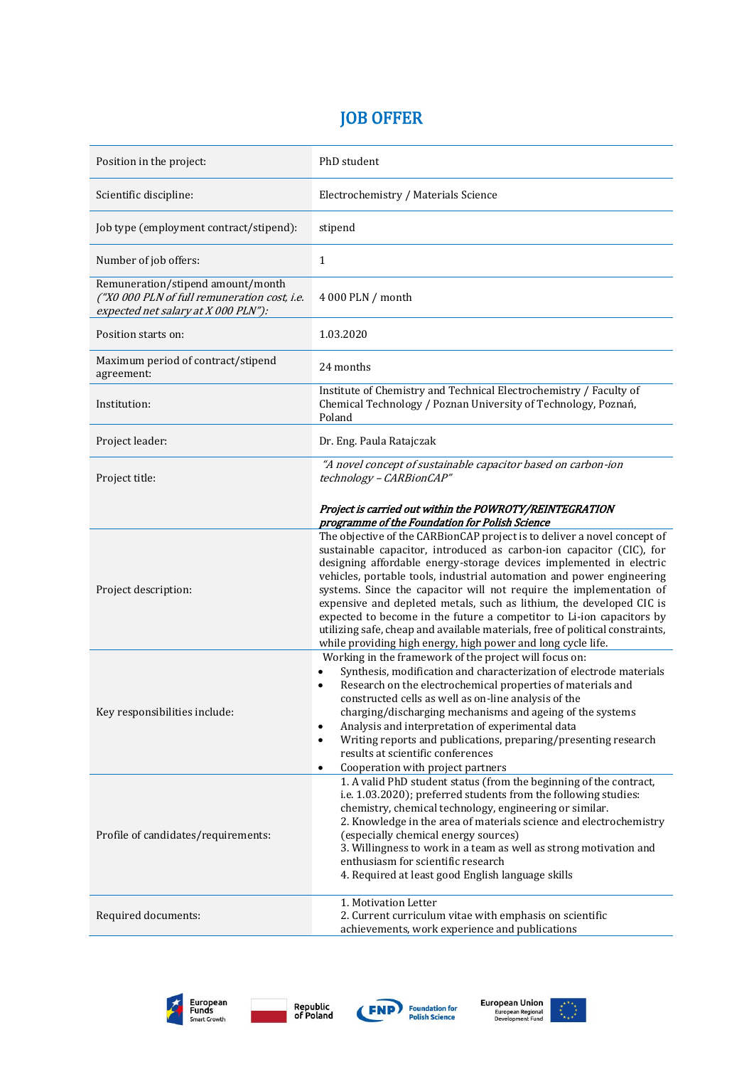## JOB OFFER

| Position in the project:                                                                                                 | PhD student                                                                                                                                                                                                                                                                                                                                                                                                                                                                                                                                                                                                                                                               |
|--------------------------------------------------------------------------------------------------------------------------|---------------------------------------------------------------------------------------------------------------------------------------------------------------------------------------------------------------------------------------------------------------------------------------------------------------------------------------------------------------------------------------------------------------------------------------------------------------------------------------------------------------------------------------------------------------------------------------------------------------------------------------------------------------------------|
| Scientific discipline:                                                                                                   | Electrochemistry / Materials Science                                                                                                                                                                                                                                                                                                                                                                                                                                                                                                                                                                                                                                      |
| Job type (employment contract/stipend):                                                                                  | stipend                                                                                                                                                                                                                                                                                                                                                                                                                                                                                                                                                                                                                                                                   |
| Number of job offers:                                                                                                    | 1                                                                                                                                                                                                                                                                                                                                                                                                                                                                                                                                                                                                                                                                         |
| Remuneration/stipend amount/month<br>("X0 000 PLN of full remuneration cost, i.e.<br>expected net salary at X 000 PLN"): | 4 000 PLN / month                                                                                                                                                                                                                                                                                                                                                                                                                                                                                                                                                                                                                                                         |
| Position starts on:                                                                                                      | 1.03.2020                                                                                                                                                                                                                                                                                                                                                                                                                                                                                                                                                                                                                                                                 |
| Maximum period of contract/stipend<br>agreement:                                                                         | 24 months                                                                                                                                                                                                                                                                                                                                                                                                                                                                                                                                                                                                                                                                 |
| Institution:                                                                                                             | Institute of Chemistry and Technical Electrochemistry / Faculty of<br>Chemical Technology / Poznan University of Technology, Poznań,<br>Poland                                                                                                                                                                                                                                                                                                                                                                                                                                                                                                                            |
| Project leader:                                                                                                          | Dr. Eng. Paula Ratajczak                                                                                                                                                                                                                                                                                                                                                                                                                                                                                                                                                                                                                                                  |
| Project title:                                                                                                           | "A novel concept of sustainable capacitor based on carbon-ion<br>technology - CARBionCAP"                                                                                                                                                                                                                                                                                                                                                                                                                                                                                                                                                                                 |
|                                                                                                                          | Project is carried out within the POWROTY/REINTEGRATION<br>programme of the Foundation for Polish Science                                                                                                                                                                                                                                                                                                                                                                                                                                                                                                                                                                 |
| Project description:                                                                                                     | The objective of the CARBionCAP project is to deliver a novel concept of<br>sustainable capacitor, introduced as carbon-ion capacitor (CIC), for<br>designing affordable energy-storage devices implemented in electric<br>vehicles, portable tools, industrial automation and power engineering<br>systems. Since the capacitor will not require the implementation of<br>expensive and depleted metals, such as lithium, the developed CIC is<br>expected to become in the future a competitor to Li-ion capacitors by<br>utilizing safe, cheap and available materials, free of political constraints,<br>while providing high energy, high power and long cycle life. |
| Key responsibilities include:                                                                                            | Working in the framework of the project will focus on:<br>Synthesis, modification and characterization of electrode materials<br>$\bullet$<br>Research on the electrochemical properties of materials and<br>$\bullet$<br>constructed cells as well as on-line analysis of the<br>charging/discharging mechanisms and ageing of the systems<br>Analysis and interpretation of experimental data<br>$\bullet$<br>Writing reports and publications, preparing/presenting research<br>$\bullet$<br>results at scientific conferences<br>Cooperation with project partners<br>$\bullet$                                                                                       |
| Profile of candidates/requirements:                                                                                      | 1. A valid PhD student status (from the beginning of the contract,<br>i.e. 1.03.2020); preferred students from the following studies:<br>chemistry, chemical technology, engineering or similar.<br>2. Knowledge in the area of materials science and electrochemistry<br>(especially chemical energy sources)<br>3. Willingness to work in a team as well as strong motivation and<br>enthusiasm for scientific research<br>4. Required at least good English language skills                                                                                                                                                                                            |
| Required documents:                                                                                                      | 1. Motivation Letter<br>2. Current curriculum vitae with emphasis on scientific<br>achievements, work experience and publications                                                                                                                                                                                                                                                                                                                                                                                                                                                                                                                                         |